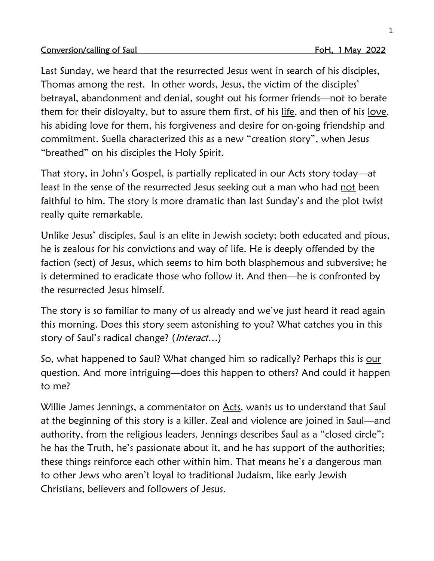## Conversion/calling of Saul Form of Saul Form of Saul Form of Texas Form of Texas Form of Texas Form of Texas Form of Texas Form of Texas Form of Texas Form of Texas Form of Texas Form of Texas Form of Texas Form of Texas F

Last Sunday, we heard that the resurrected Jesus went in search of his disciples, Thomas among the rest. In other words, Jesus, the victim of the disciples' betrayal, abandonment and denial, sought out his former friends—not to berate them for their disloyalty, but to assure them first, of his life, and then of his love, his abiding love for them, his forgiveness and desire for on-going friendship and commitment. Suella characterized this as a new "creation story", when Jesus "breathed" on his disciples the Holy Spirit.

That story, in John's Gospel, is partially replicated in our Acts story today—at least in the sense of the resurrected Jesus seeking out a man who had not been faithful to him. The story is more dramatic than last Sunday's and the plot twist really quite remarkable.

Unlike Jesus' disciples, Saul is an elite in Jewish society; both educated and pious, he is zealous for his convictions and way of life. He is deeply offended by the faction (sect) of Jesus, which seems to him both blasphemous and subversive; he is determined to eradicate those who follow it. And then—he is confronted by the resurrected Jesus himself.

The story is so familiar to many of us already and we've just heard it read again this morning. Does this story seem astonishing to you? What catches you in this story of Saul's radical change? (*Interact...*)

So, what happened to Saul? What changed him so radically? Perhaps this is our question. And more intriguing—does this happen to others? And could it happen to me?

Willie James Jennings, a commentator on Acts, wants us to understand that Saul at the beginning of this story is a killer. Zeal and violence are joined in Saul—and authority, from the religious leaders. Jennings describes Saul as a "closed circle": he has the Truth, he's passionate about it, and he has support of the authorities; these things reinforce each other within him. That means he's a dangerous man to other Jews who aren't loyal to traditional Judaism, like early Jewish Christians, believers and followers of Jesus.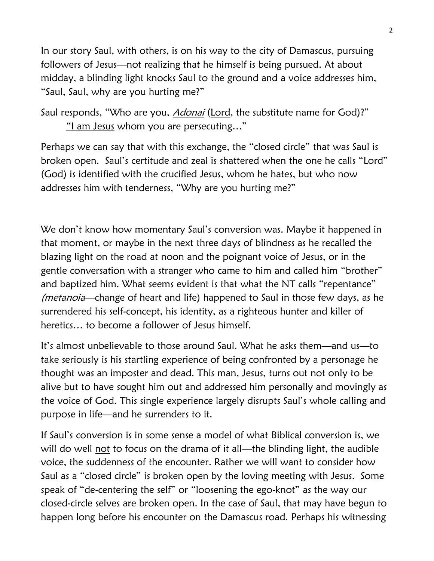In our story Saul, with others, is on his way to the city of Damascus, pursuing followers of Jesus—not realizing that he himself is being pursued. At about midday, a blinding light knocks Saul to the ground and a voice addresses him, "Saul, Saul, why are you hurting me?"

Saul responds, "Who are you, *Adonai* (Lord, the substitute name for God)?" "I am Jesus whom you are persecuting…"

Perhaps we can say that with this exchange, the "closed circle" that was Saul is broken open. Saul's certitude and zeal is shattered when the one he calls "Lord" (God) is identified with the crucified Jesus, whom he hates, but who now addresses him with tenderness, "Why are you hurting me?"

We don't know how momentary Saul's conversion was. Maybe it happened in that moment, or maybe in the next three days of blindness as he recalled the blazing light on the road at noon and the poignant voice of Jesus, or in the gentle conversation with a stranger who came to him and called him "brother" and baptized him. What seems evident is that what the NT calls "repentance" (metanoia—change of heart and life) happened to Saul in those few days, as he surrendered his self-concept, his identity, as a righteous hunter and killer of heretics… to become a follower of Jesus himself.

It's almost unbelievable to those around Saul. What he asks them—and us—to take seriously is his startling experience of being confronted by a personage he thought was an imposter and dead. This man, Jesus, turns out not only to be alive but to have sought him out and addressed him personally and movingly as the voice of God. This single experience largely disrupts Saul's whole calling and purpose in life—and he surrenders to it.

If Saul's conversion is in some sense a model of what Biblical conversion is, we will do well not to focus on the drama of it all—the blinding light, the audible voice, the suddenness of the encounter. Rather we will want to consider how Saul as a "closed circle" is broken open by the loving meeting with Jesus. Some speak of "de-centering the self" or "loosening the ego-knot" as the way our closed-circle selves are broken open. In the case of Saul, that may have begun to happen long before his encounter on the Damascus road. Perhaps his witnessing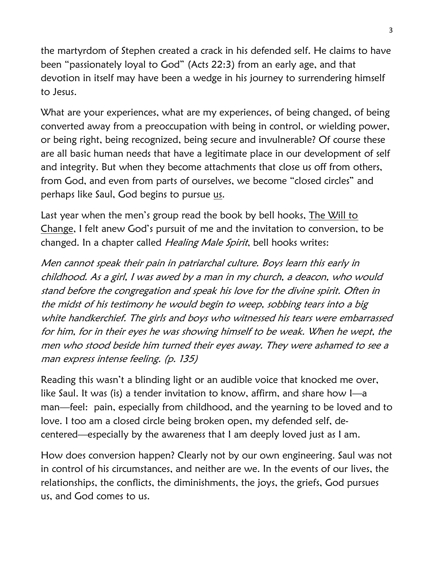the martyrdom of Stephen created a crack in his defended self. He claims to have been "passionately loyal to God" (Acts 22:3) from an early age, and that devotion in itself may have been a wedge in his journey to surrendering himself to Jesus.

What are your experiences, what are my experiences, of being changed, of being converted away from a preoccupation with being in control, or wielding power, or being right, being recognized, being secure and invulnerable? Of course these are all basic human needs that have a legitimate place in our development of self and integrity. But when they become attachments that close us off from others, from God, and even from parts of ourselves, we become "closed circles" and perhaps like Saul, God begins to pursue us.

Last year when the men's group read the book by bell hooks, The Will to Change, I felt anew God's pursuit of me and the invitation to conversion, to be changed. In a chapter called Healing Male Spirit, bell hooks writes:

Men cannot speak their pain in patriarchal culture. Boys learn this early in childhood. As a girl, I was awed by a man in my church, a deacon, who would stand before the congregation and speak his love for the divine spirit. Often in the midst of his testimony he would begin to weep, sobbing tears into a big white handkerchief. The girls and boys who witnessed his tears were embarrassed for him, for in their eyes he was showing himself to be weak. When he wept, the men who stood beside him turned their eyes away. They were ashamed to see a man express intense feeling. (p. 135)

Reading this wasn't a blinding light or an audible voice that knocked me over, like Saul. It was (is) a tender invitation to know, affirm, and share how I—a man—feel: pain, especially from childhood, and the yearning to be loved and to love. I too am a closed circle being broken open, my defended self, decentered—especially by the awareness that I am deeply loved just as I am.

How does conversion happen? Clearly not by our own engineering. Saul was not in control of his circumstances, and neither are we. In the events of our lives, the relationships, the conflicts, the diminishments, the joys, the griefs, God pursues us, and God comes to us.